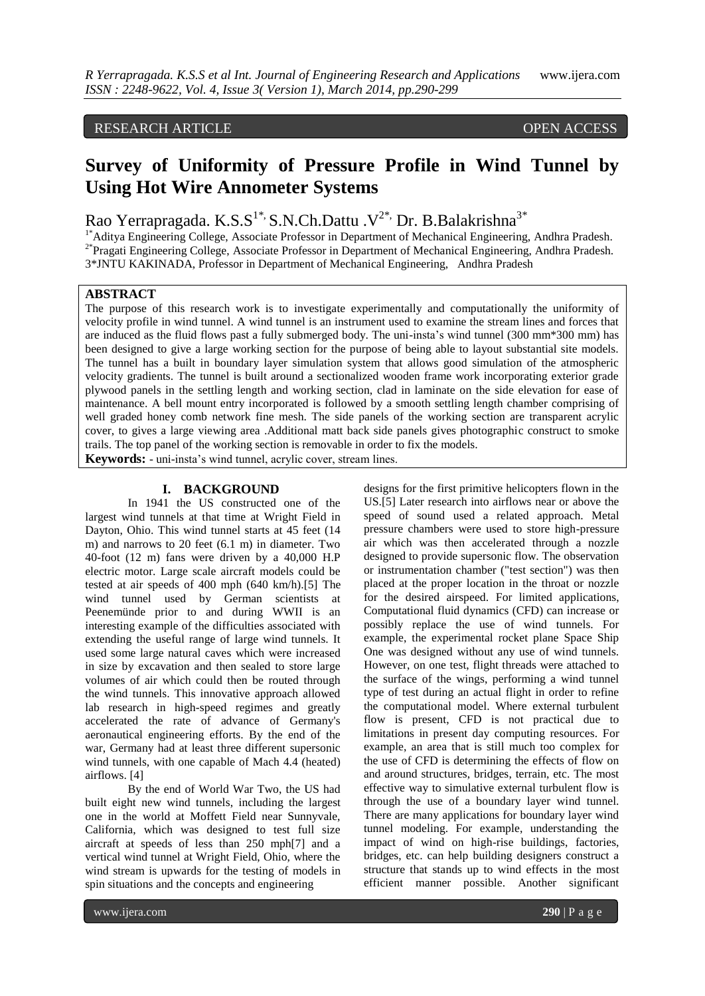# RESEARCH ARTICLE OPEN ACCESS

# **Survey of Uniformity of Pressure Profile in Wind Tunnel by Using Hot Wire Annometer Systems**

Rao Yerrapragada. K.S. $S^{1*}$ , S.N.Ch.Dattu .V<sup>2\*</sup>, Dr. B.Balakrishna<sup>3\*</sup>

<sup>1\*</sup>Aditya Engineering College, Associate Professor in Department of Mechanical Engineering, Andhra Pradesh. <sup>2\*</sup>Pragati Engineering College, Associate Professor in Department of Mechanical Engineering, Andhra Pradesh. 3\*JNTU KAKINADA, Professor in Department of Mechanical Engineering, Andhra Pradesh

## **ABSTRACT**

The purpose of this research work is to investigate experimentally and computationally the uniformity of velocity profile in wind tunnel. A wind tunnel is an instrument used to examine the stream lines and forces that are induced as the fluid flows past a fully submerged body. The uni-insta's wind tunnel (300 mm\*300 mm) has been designed to give a large working section for the purpose of being able to layout substantial site models. The tunnel has a built in boundary layer simulation system that allows good simulation of the atmospheric velocity gradients. The tunnel is built around a sectionalized wooden frame work incorporating exterior grade plywood panels in the settling length and working section, clad in laminate on the side elevation for ease of maintenance. A bell mount entry incorporated is followed by a smooth settling length chamber comprising of well graded honey comb network fine mesh. The side panels of the working section are transparent acrylic cover, to gives a large viewing area .Additional matt back side panels gives photographic construct to smoke trails. The top panel of the working section is removable in order to fix the models. **Keywords:** - uni-insta's wind tunnel, acrylic cover, stream lines.

## **I. BACKGROUND**

In 1941 the US constructed one of the largest wind tunnels at that time at Wright Field in Dayton, Ohio. This wind tunnel starts at 45 feet (14 m) and narrows to 20 feet (6.1 m) in diameter. Two 40-foot (12 m) fans were driven by a 40,000 H.P electric motor. Large scale aircraft models could be tested at air speeds of 400 mph (640 km/h).[5] The wind tunnel used by German scientists at Peenemünde prior to and during WWII is an interesting example of the difficulties associated with extending the useful range of large wind tunnels. It used some large natural caves which were increased in size by excavation and then sealed to store large volumes of air which could then be routed through the wind tunnels. This innovative approach allowed lab research in high-speed regimes and greatly accelerated the rate of advance of Germany's aeronautical engineering efforts. By the end of the war, Germany had at least three different supersonic wind tunnels, with one capable of Mach 4.4 (heated) airflows. [4]

By the end of World War Two, the US had built eight new wind tunnels, including the largest one in the world at Moffett Field near Sunnyvale, California, which was designed to test full size aircraft at speeds of less than 250 mph[7] and a vertical wind tunnel at Wright Field, Ohio, where the wind stream is upwards for the testing of models in spin situations and the concepts and engineering

designs for the first primitive helicopters flown in the US.[5] Later research into airflows near or above the speed of sound used a related approach. Metal pressure chambers were used to store high-pressure air which was then accelerated through a nozzle designed to provide supersonic flow. The observation or instrumentation chamber ("test section") was then placed at the proper location in the throat or nozzle for the desired airspeed. For limited applications, Computational fluid dynamics (CFD) can increase or possibly replace the use of wind tunnels. For example, the experimental rocket plane Space Ship One was designed without any use of wind tunnels. However, on one test, flight threads were attached to the surface of the wings, performing a wind tunnel type of test during an actual flight in order to refine the computational model. Where external turbulent flow is present, CFD is not practical due to limitations in present day computing resources. For example, an area that is still much too complex for the use of CFD is determining the effects of flow on and around structures, bridges, terrain, etc. The most effective way to simulative external turbulent flow is through the use of a boundary layer wind tunnel. There are many applications for boundary layer wind tunnel modeling. For example, understanding the impact of wind on high-rise buildings, factories, bridges, etc. can help building designers construct a structure that stands up to wind effects in the most efficient manner possible. Another significant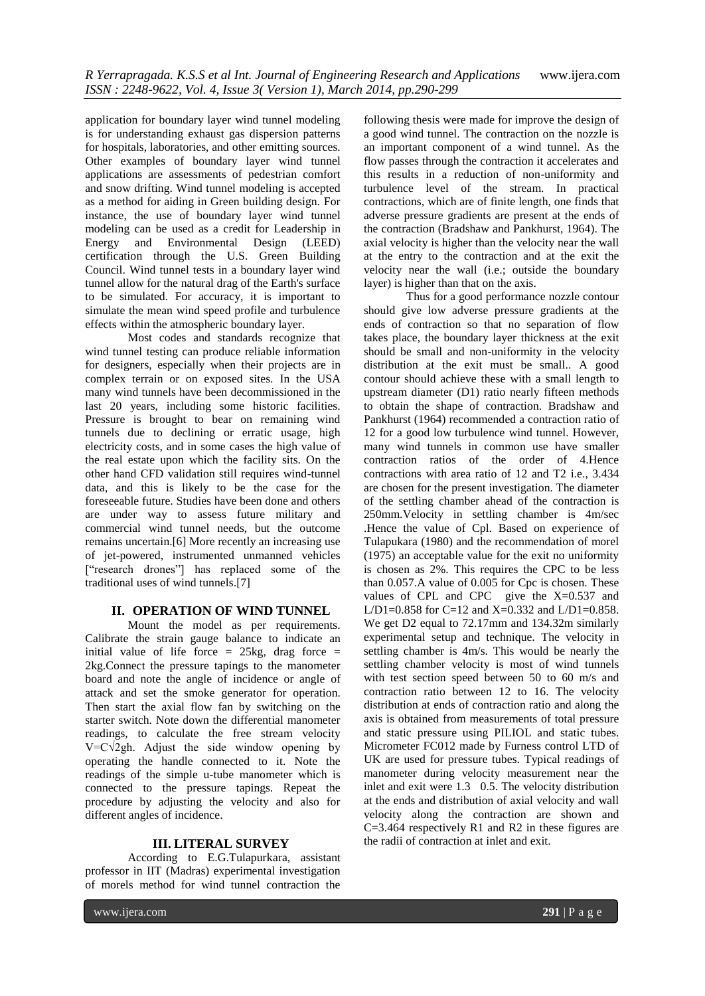application for boundary layer wind tunnel modeling is for understanding exhaust gas dispersion patterns for hospitals, laboratories, and other emitting sources. Other examples of boundary layer wind tunnel applications are assessments of pedestrian comfort and snow drifting. Wind tunnel modeling is accepted as a method for aiding in Green building design. For instance, the use of boundary layer wind tunnel modeling can be used as a credit for Leadership in Energy and Environmental Design (LEED) certification through the U.S. Green Building Council. Wind tunnel tests in a boundary layer wind tunnel allow for the natural drag of the Earth's surface to be simulated. For accuracy, it is important to simulate the mean wind speed profile and turbulence effects within the atmospheric boundary layer.

Most codes and standards recognize that wind tunnel testing can produce reliable information for designers, especially when their projects are in complex terrain or on exposed sites. In the USA many wind tunnels have been decommissioned in the last 20 years, including some historic facilities. Pressure is brought to bear on remaining wind tunnels due to declining or erratic usage, high electricity costs, and in some cases the high value of the real estate upon which the facility sits. On the other hand CFD validation still requires wind-tunnel data, and this is likely to be the case for the foreseeable future. Studies have been done and others are under way to assess future military and commercial wind tunnel needs, but the outcome remains uncertain.[6] More recently an increasing use of jet-powered, instrumented unmanned vehicles ["research drones"] has replaced some of the traditional uses of wind tunnels.[7]

## **II. OPERATION OF WIND TUNNEL**

Mount the model as per requirements. Calibrate the strain gauge balance to indicate an initial value of life force  $= 25$ kg, drag force  $=$ 2kg.Connect the pressure tapings to the manometer board and note the angle of incidence or angle of attack and set the smoke generator for operation. Then start the axial flow fan by switching on the starter switch. Note down the differential manometer readings, to calculate the free stream velocity  $V = C\sqrt{2gh}$ . Adjust the side window opening by operating the handle connected to it. Note the readings of the simple u-tube manometer which is connected to the pressure tapings. Repeat the procedure by adjusting the velocity and also for different angles of incidence.

## **III. LITERAL SURVEY**

According to E.G.Tulapurkara, assistant professor in IIT (Madras) experimental investigation of morels method for wind tunnel contraction the

following thesis were made for improve the design of a good wind tunnel. The contraction on the nozzle is an important component of a wind tunnel. As the flow passes through the contraction it accelerates and this results in a reduction of non-uniformity and turbulence level of the stream. In practical contractions, which are of finite length, one finds that adverse pressure gradients are present at the ends of the contraction (Bradshaw and Pankhurst, 1964). The axial velocity is higher than the velocity near the wall at the entry to the contraction and at the exit the velocity near the wall (i.e.; outside the boundary layer) is higher than that on the axis.

Thus for a good performance nozzle contour should give low adverse pressure gradients at the ends of contraction so that no separation of flow takes place, the boundary layer thickness at the exit should be small and non-uniformity in the velocity distribution at the exit must be small.. A good contour should achieve these with a small length to upstream diameter (D1) ratio nearly fifteen methods to obtain the shape of contraction. Bradshaw and Pankhurst (1964) recommended a contraction ratio of 12 for a good low turbulence wind tunnel. However, many wind tunnels in common use have smaller contraction ratios of the order of 4.Hence contractions with area ratio of 12 and T2 i.e., 3.434 are chosen for the present investigation. The diameter of the settling chamber ahead of the contraction is 250mm.Velocity in settling chamber is 4m/sec .Hence the value of Cpl. Based on experience of Tulapukara (1980) and the recommendation of morel (1975) an acceptable value for the exit no uniformity is chosen as 2%. This requires the CPC to be less than 0.057.A value of 0.005 for Cpc is chosen. These values of CPL and CPC give the X=0.537 and L/D1=0.858 for C=12 and X=0.332 and L/D1=0.858. We get D2 equal to 72.17mm and 134.32m similarly experimental setup and technique. The velocity in settling chamber is 4m/s. This would be nearly the settling chamber velocity is most of wind tunnels with test section speed between 50 to 60 m/s and contraction ratio between 12 to 16. The velocity distribution at ends of contraction ratio and along the axis is obtained from measurements of total pressure and static pressure using PILIOL and static tubes. Micrometer FC012 made by Furness control LTD of UK are used for pressure tubes. Typical readings of manometer during velocity measurement near the inlet and exit were 1.3 0.5. The velocity distribution at the ends and distribution of axial velocity and wall velocity along the contraction are shown and C=3.464 respectively R1 and R2 in these figures are the radii of contraction at inlet and exit.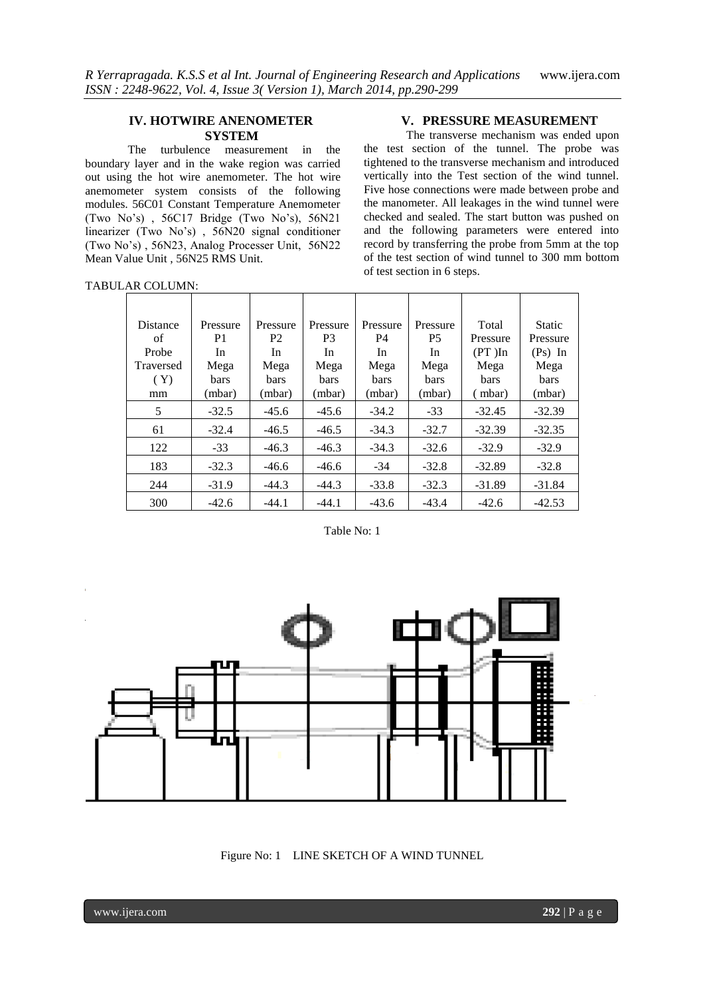## **IV. HOTWIRE ANENOMETER SYSTEM**

The turbulence measurement in the boundary layer and in the wake region was carried out using the hot wire anemometer. The hot wire anemometer system consists of the following modules. 56C01 Constant Temperature Anemometer (Two No's) , 56C17 Bridge (Two No's), 56N21 linearizer (Two No's) , 56N20 signal conditioner (Two No's) , 56N23, Analog Processer Unit, 56N22 Mean Value Unit , 56N25 RMS Unit.

#### TABULAR COLUMN:

## **V. PRESSURE MEASUREMENT**

The transverse mechanism was ended upon the test section of the tunnel. The probe was tightened to the transverse mechanism and introduced vertically into the Test section of the wind tunnel. Five hose connections were made between probe and the manometer. All leakages in the wind tunnel were checked and sealed. The start button was pushed on and the following parameters were entered into record by transferring the probe from 5mm at the top of the test section of wind tunnel to 300 mm bottom of test section in 6 steps.

| Distance  | Pressure    | Pressure       | Pressure    | Pressure    | Pressure    | Total       | <b>Static</b> |
|-----------|-------------|----------------|-------------|-------------|-------------|-------------|---------------|
| of        | P1          | P <sub>2</sub> | P3          | P4          | <b>P5</b>   | Pressure    | Pressure      |
| Probe     | In          | In             | In          | In          | In          | $(PT)$ In   | $(Ps)$ In     |
| Traversed | Mega        | Mega           | Mega        | Mega        | Mega        | Mega        | Mega          |
| (Y)       | <b>bars</b> | <b>bars</b>    | <b>bars</b> | <b>bars</b> | <b>bars</b> | <b>bars</b> | <b>bars</b>   |
| mm        | (mbar)      | (mbar)         | (mbar)      | (mbar)      | (mbar)      | (mbar)      | (mbar)        |
| 5         | $-32.5$     | $-45.6$        | $-45.6$     | $-34.2$     | $-33$       | $-32.45$    | $-32.39$      |
| 61        | $-32.4$     | $-46.5$        | $-46.5$     | $-34.3$     | $-32.7$     | $-32.39$    | $-32.35$      |
| 122       | $-33$       | $-46.3$        | $-46.3$     | $-34.3$     | $-32.6$     | $-32.9$     | $-32.9$       |
| 183       | $-32.3$     | $-46.6$        | $-46.6$     | $-34$       | $-32.8$     | $-32.89$    | $-32.8$       |
| 244       | $-31.9$     | $-44.3$        | $-44.3$     | $-33.8$     | $-32.3$     | $-31.89$    | $-31.84$      |
| 300       | $-42.6$     | $-44.1$        | $-44.1$     | $-43.6$     | $-43.4$     | $-42.6$     | $-42.53$      |

Table No: 1



Figure No: 1 LINE SKETCH OF A WIND TUNNEL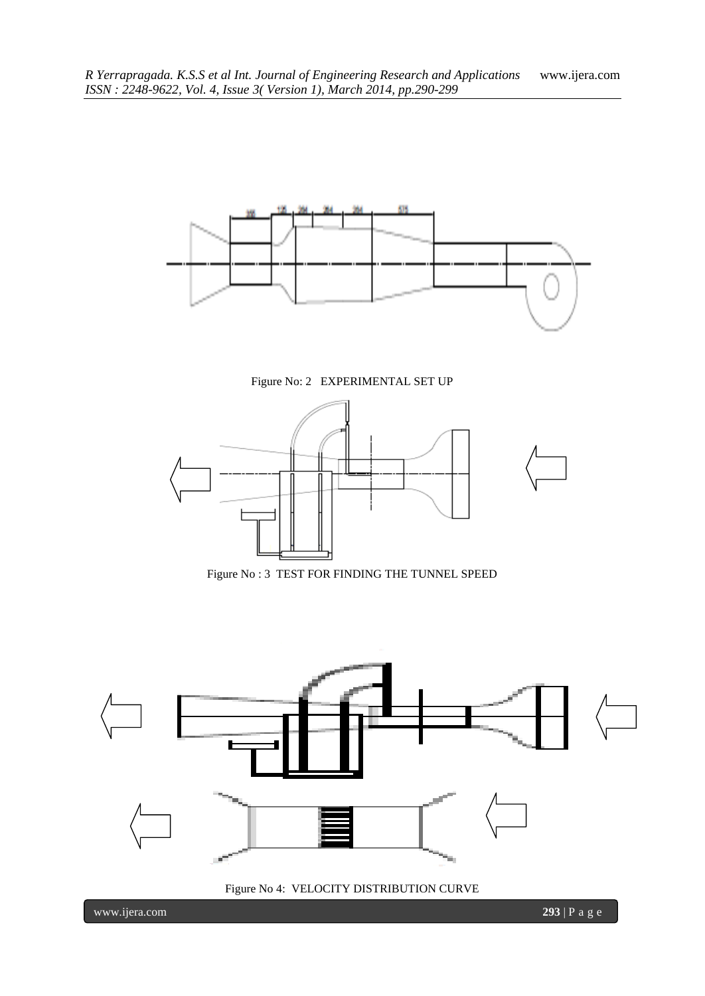

Figure No: 2 EXPERIMENTAL SET UP



Figure No : 3 TEST FOR FINDING THE TUNNEL SPEED



Figure No 4: VELOCITY DISTRIBUTION CURVE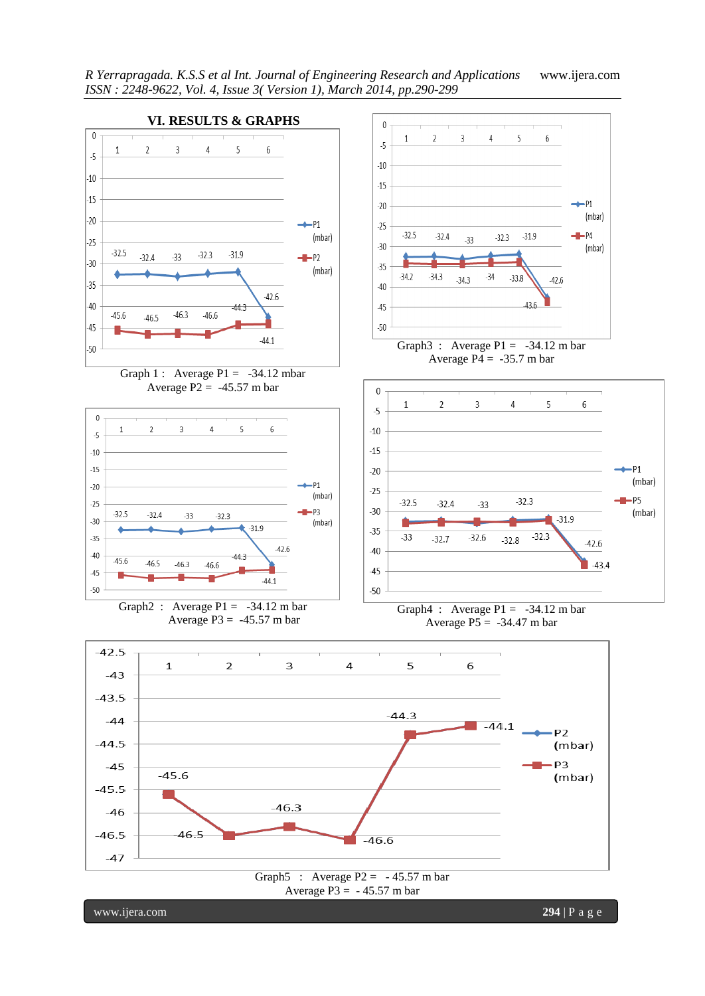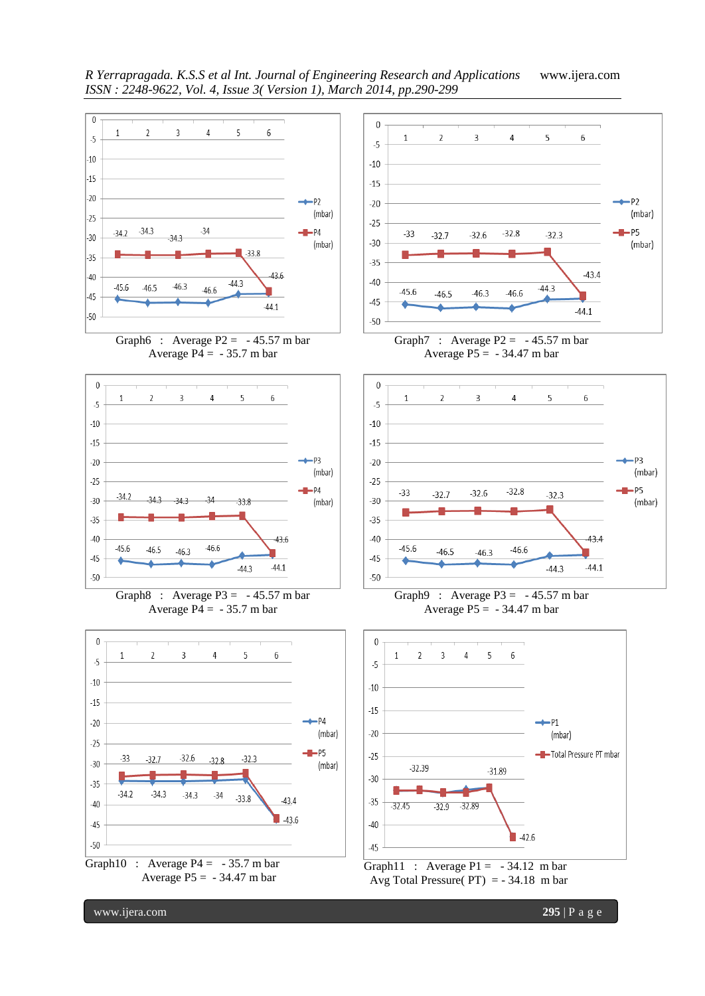

www.ijera.com **295** | P a g e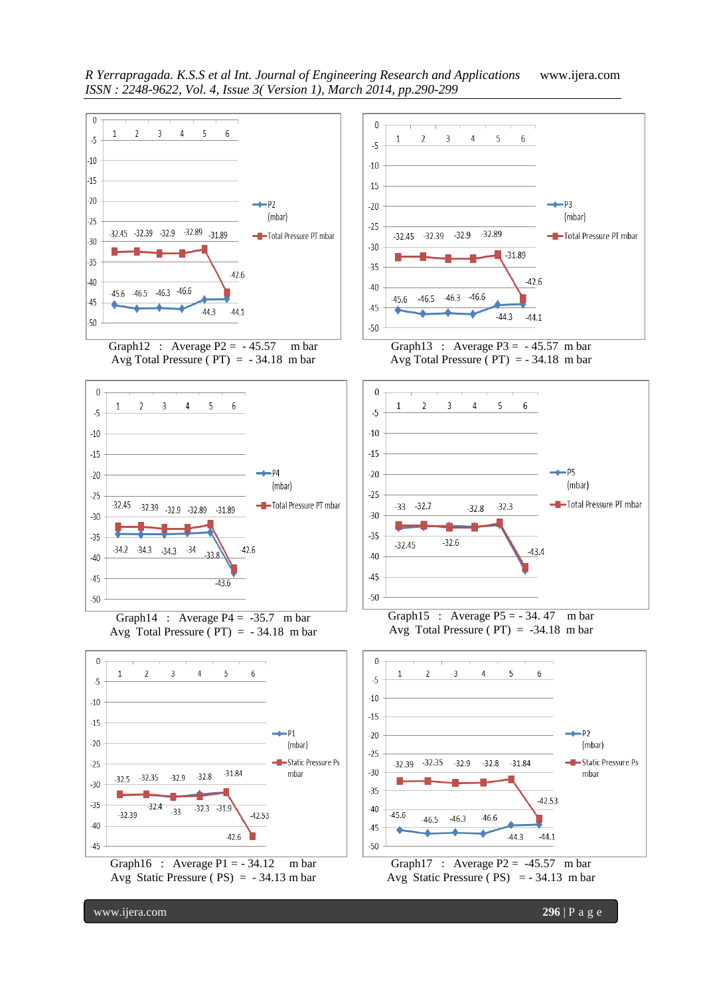

Graph12 : Average  $P2 = -45.57$  m bar Avg Total Pressure ( $PT$ ) = -34.18 m bar



Graph14 : Average  $P4 = -35.7$  m bar Avg Total Pressure ( $PT$ ) = -34.18 m bar



Graph16 : Average  $P1 = -34.12$  m bar Avg Static Pressure ( PS) = - 34.13 m bar







Graph15 : Average  $P5 = -34.47$  m bar Avg Total Pressure ( $PT$ ) = -34.18 m bar





www.ijera.com **296** | P a g e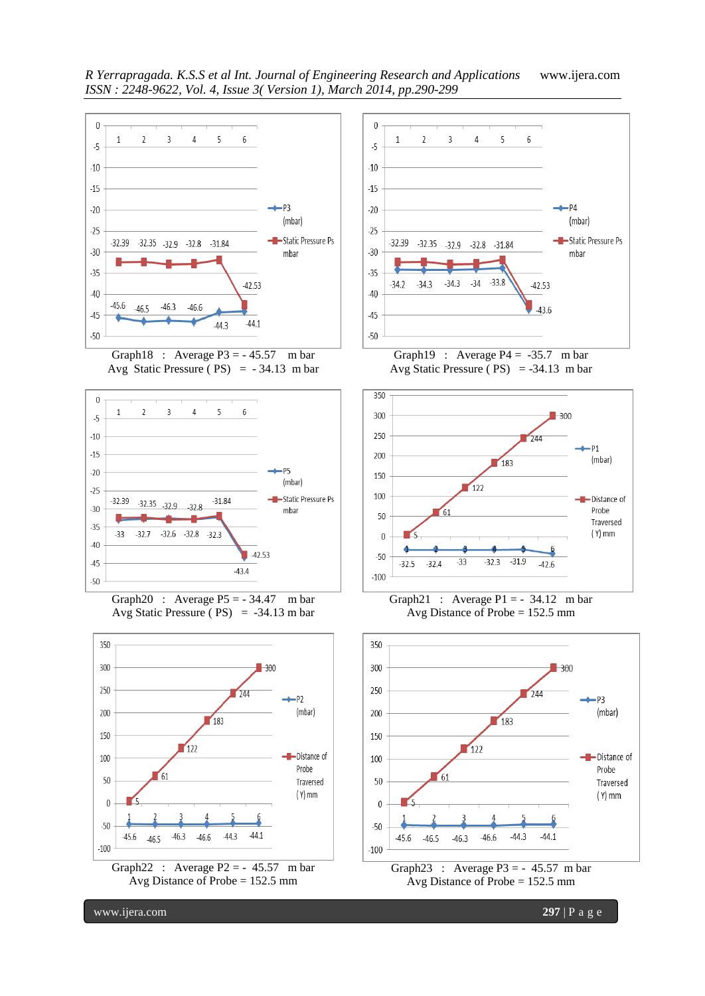

Graph18 : Average  $P3 = -45.57$  m bar Avg Static Pressure ( $PS$ ) = -34.13 m bar









Graph19 : Average  $P4 = -35.7$  m bar Avg Static Pressure ( $PS$ ) = -34.13 m bar



Graph21 : Average  $P1 = -34.12$  m bar Avg Distance of Probe = 152.5 mm



www.ijera.com **297** | P a g e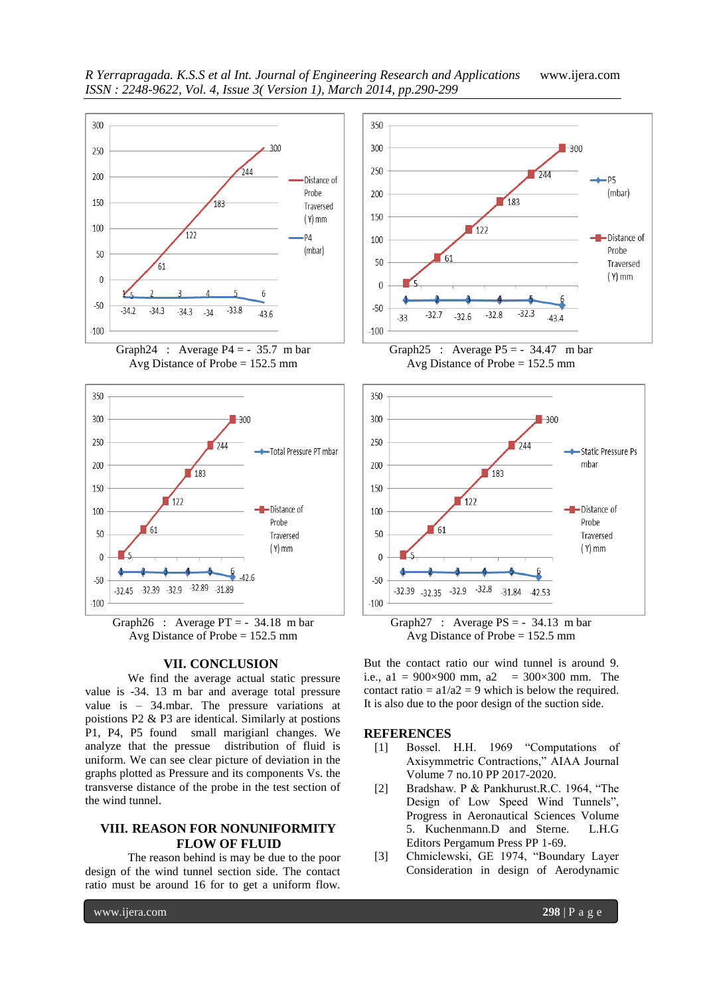

Graph24 : Average  $P4 = -35.7$  m bar Avg Distance of Probe = 152.5 mm



Graph26 : Average  $PT = -34.18$  m bar Avg Distance of Probe = 152.5 mm

## **VII. CONCLUSION**

We find the average actual static pressure value is -34. 13 m bar and average total pressure value is – 34.mbar. The pressure variations at poistions P2 & P3 are identical. Similarly at postions P1, P4, P5 found small marigianl changes. We analyze that the pressue distribution of fluid is uniform. We can see clear picture of deviation in the graphs plotted as Pressure and its components Vs. the transverse distance of the probe in the test section of the wind tunnel.

## **VIII. REASON FOR NONUNIFORMITY FLOW OF FLUID**

The reason behind is may be due to the poor design of the wind tunnel section side. The contact ratio must be around 16 for to get a uniform flow.



Graph25 : Average  $P5 = -34.47$  m bar Avg Distance of Probe = 152.5 mm



Graph27 : Average  $PS = -34.13$  m bar Avg Distance of Probe = 152.5 mm

But the contact ratio our wind tunnel is around 9. i.e., a1 =  $900 \times 900$  mm, a2 =  $300 \times 300$  mm. The contact ratio =  $a1/a2 = 9$  which is below the required. It is also due to the poor design of the suction side.

#### **REFERENCES**

- [1] Bossel. H.H. 1969 "Computations of Axisymmetric Contractions," AIAA Journal Volume 7 no.10 PP 2017-2020.
- [2] Bradshaw. P & Pankhurust.R.C. 1964, "The Design of Low Speed Wind Tunnels", Progress in Aeronautical Sciences Volume 5. Kuchenmann.D and Sterne. L.H.G Editors Pergamum Press PP 1-69.
- [3] Chmiclewski, GE 1974, "Boundary Layer Consideration in design of Aerodynamic